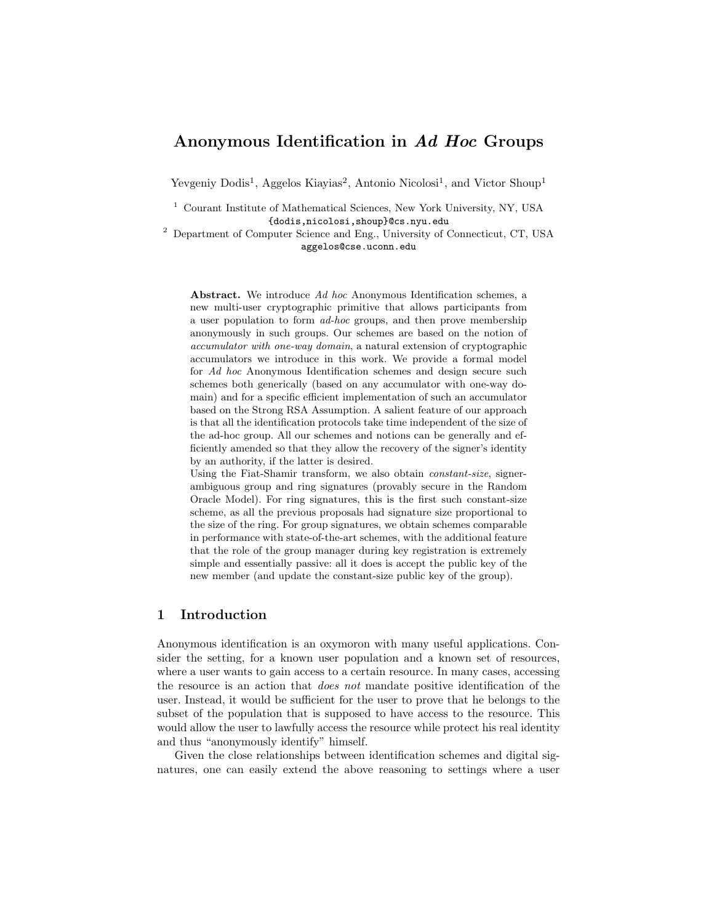# Anonymous Identification in Ad Hoc Groups

Yevgeniy Dodis<sup>1</sup>, Aggelos Kiayias<sup>2</sup>, Antonio Nicolosi<sup>1</sup>, and Victor Shoup<sup>1</sup>

<sup>1</sup> Courant Institute of Mathematical Sciences, New York University, NY, USA {dodis,nicolosi,shoup}@cs.nyu.edu

<sup>2</sup> Department of Computer Science and Eng., University of Connecticut, CT, USA aggelos@cse.uconn.edu

Abstract. We introduce Ad hoc Anonymous Identification schemes, a new multi-user cryptographic primitive that allows participants from a user population to form ad-hoc groups, and then prove membership anonymously in such groups. Our schemes are based on the notion of accumulator with one-way domain, a natural extension of cryptographic accumulators we introduce in this work. We provide a formal model for Ad hoc Anonymous Identification schemes and design secure such schemes both generically (based on any accumulator with one-way domain) and for a specific efficient implementation of such an accumulator based on the Strong RSA Assumption. A salient feature of our approach is that all the identification protocols take time independent of the size of the ad-hoc group. All our schemes and notions can be generally and efficiently amended so that they allow the recovery of the signer's identity by an authority, if the latter is desired.

Using the Fiat-Shamir transform, we also obtain constant-size, signerambiguous group and ring signatures (provably secure in the Random Oracle Model). For ring signatures, this is the first such constant-size scheme, as all the previous proposals had signature size proportional to the size of the ring. For group signatures, we obtain schemes comparable in performance with state-of-the-art schemes, with the additional feature that the role of the group manager during key registration is extremely simple and essentially passive: all it does is accept the public key of the new member (and update the constant-size public key of the group).

### 1 Introduction

Anonymous identification is an oxymoron with many useful applications. Consider the setting, for a known user population and a known set of resources, where a user wants to gain access to a certain resource. In many cases, accessing the resource is an action that does not mandate positive identification of the user. Instead, it would be sufficient for the user to prove that he belongs to the subset of the population that is supposed to have access to the resource. This would allow the user to lawfully access the resource while protect his real identity and thus "anonymously identify" himself.

Given the close relationships between identification schemes and digital signatures, one can easily extend the above reasoning to settings where a user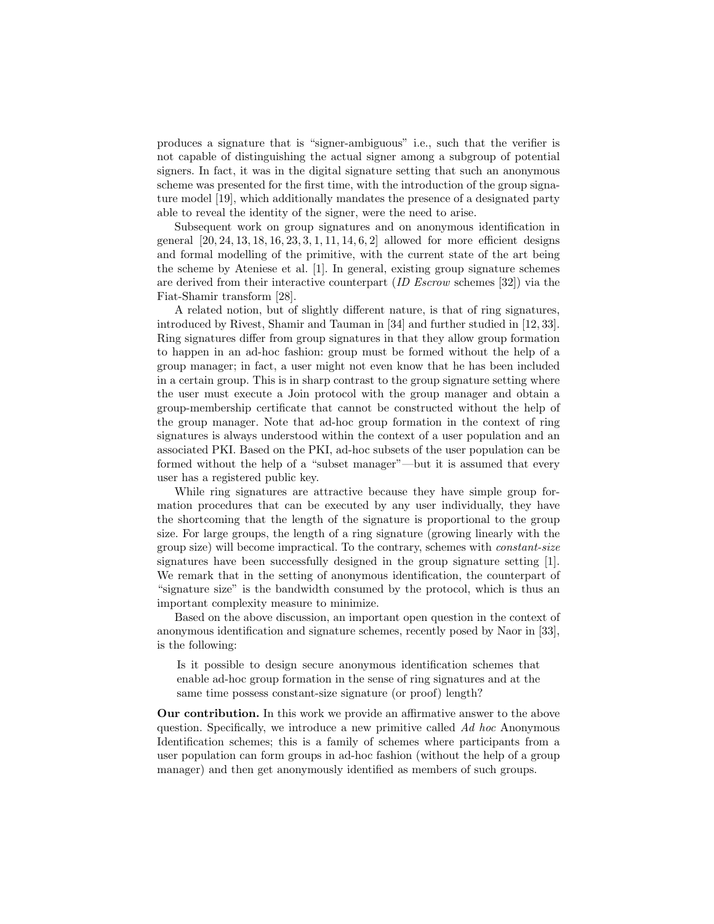produces a signature that is "signer-ambiguous" i.e., such that the verifier is not capable of distinguishing the actual signer among a subgroup of potential signers. In fact, it was in the digital signature setting that such an anonymous scheme was presented for the first time, with the introduction of the group signature model [19], which additionally mandates the presence of a designated party able to reveal the identity of the signer, were the need to arise.

Subsequent work on group signatures and on anonymous identification in general  $[20, 24, 13, 18, 16, 23, 3, 1, 11, 14, 6, 2]$  allowed for more efficient designs and formal modelling of the primitive, with the current state of the art being the scheme by Ateniese et al. [1]. In general, existing group signature schemes are derived from their interactive counterpart (ID Escrow schemes [32]) via the Fiat-Shamir transform [28].

A related notion, but of slightly different nature, is that of ring signatures, introduced by Rivest, Shamir and Tauman in [34] and further studied in [12, 33]. Ring signatures differ from group signatures in that they allow group formation to happen in an ad-hoc fashion: group must be formed without the help of a group manager; in fact, a user might not even know that he has been included in a certain group. This is in sharp contrast to the group signature setting where the user must execute a Join protocol with the group manager and obtain a group-membership certificate that cannot be constructed without the help of the group manager. Note that ad-hoc group formation in the context of ring signatures is always understood within the context of a user population and an associated PKI. Based on the PKI, ad-hoc subsets of the user population can be formed without the help of a "subset manager"—but it is assumed that every user has a registered public key.

While ring signatures are attractive because they have simple group formation procedures that can be executed by any user individually, they have the shortcoming that the length of the signature is proportional to the group size. For large groups, the length of a ring signature (growing linearly with the group size) will become impractical. To the contrary, schemes with constant-size signatures have been successfully designed in the group signature setting [1]. We remark that in the setting of anonymous identification, the counterpart of "signature size" is the bandwidth consumed by the protocol, which is thus an important complexity measure to minimize.

Based on the above discussion, an important open question in the context of anonymous identification and signature schemes, recently posed by Naor in [33], is the following:

Is it possible to design secure anonymous identification schemes that enable ad-hoc group formation in the sense of ring signatures and at the same time possess constant-size signature (or proof) length?

Our contribution. In this work we provide an affirmative answer to the above question. Specifically, we introduce a new primitive called Ad hoc Anonymous Identification schemes; this is a family of schemes where participants from a user population can form groups in ad-hoc fashion (without the help of a group manager) and then get anonymously identified as members of such groups.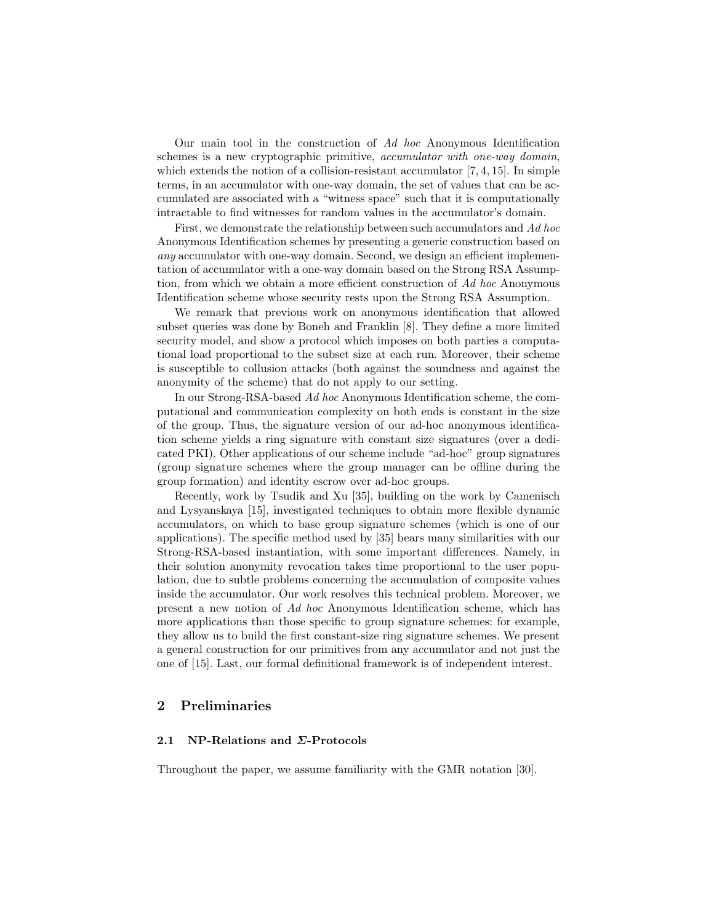Our main tool in the construction of Ad hoc Anonymous Identification schemes is a new cryptographic primitive, *accumulator with one-way domain*, which extends the notion of a collision-resistant accumulator  $[7, 4, 15]$ . In simple terms, in an accumulator with one-way domain, the set of values that can be accumulated are associated with a "witness space" such that it is computationally intractable to find witnesses for random values in the accumulator's domain.

First, we demonstrate the relationship between such accumulators and Ad hoc Anonymous Identification schemes by presenting a generic construction based on any accumulator with one-way domain. Second, we design an efficient implementation of accumulator with a one-way domain based on the Strong RSA Assumption, from which we obtain a more efficient construction of Ad hoc Anonymous Identification scheme whose security rests upon the Strong RSA Assumption.

We remark that previous work on anonymous identification that allowed subset queries was done by Boneh and Franklin [8]. They define a more limited security model, and show a protocol which imposes on both parties a computational load proportional to the subset size at each run. Moreover, their scheme is susceptible to collusion attacks (both against the soundness and against the anonymity of the scheme) that do not apply to our setting.

In our Strong-RSA-based Ad hoc Anonymous Identification scheme, the computational and communication complexity on both ends is constant in the size of the group. Thus, the signature version of our ad-hoc anonymous identification scheme yields a ring signature with constant size signatures (over a dedicated PKI). Other applications of our scheme include "ad-hoc" group signatures (group signature schemes where the group manager can be offline during the group formation) and identity escrow over ad-hoc groups.

Recently, work by Tsudik and Xu [35], building on the work by Camenisch and Lysyanskaya [15], investigated techniques to obtain more flexible dynamic accumulators, on which to base group signature schemes (which is one of our applications). The specific method used by [35] bears many similarities with our Strong-RSA-based instantiation, with some important differences. Namely, in their solution anonymity revocation takes time proportional to the user population, due to subtle problems concerning the accumulation of composite values inside the accumulator. Our work resolves this technical problem. Moreover, we present a new notion of Ad hoc Anonymous Identification scheme, which has more applications than those specific to group signature schemes: for example, they allow us to build the first constant-size ring signature schemes. We present a general construction for our primitives from any accumulator and not just the one of [15]. Last, our formal definitional framework is of independent interest.

# 2 Preliminaries

### 2.1 NP-Relations and  $\Sigma$ -Protocols

Throughout the paper, we assume familiarity with the GMR notation [30].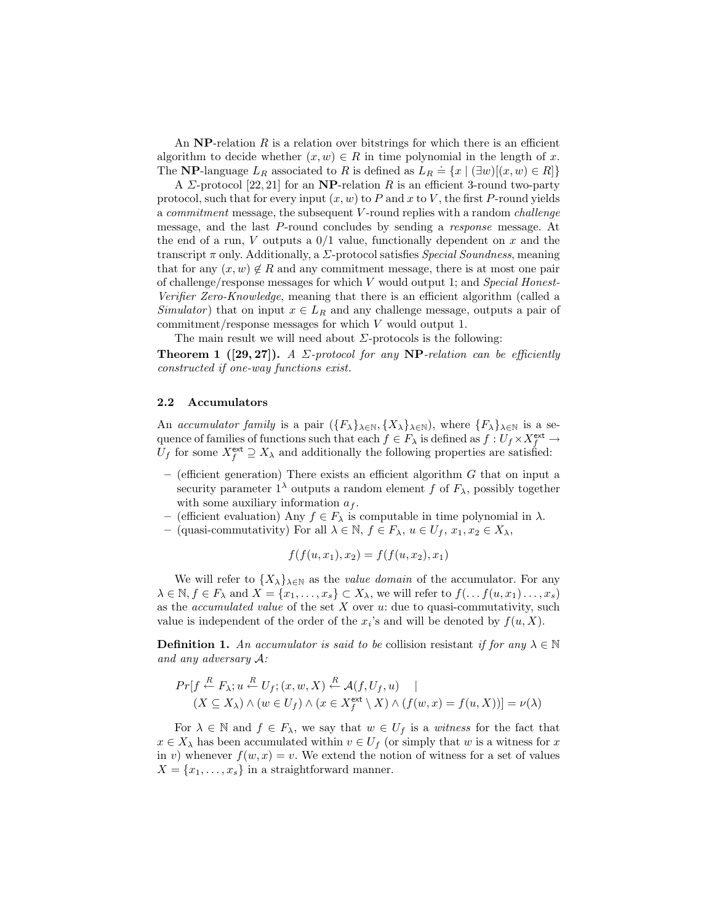An  $NP$ -relation R is a relation over bitstrings for which there is an efficient algorithm to decide whether  $(x, w) \in R$  in time polynomial in the length of x. The **NP**-language  $L_R$  associated to R is defined as  $L_R \doteq \{x \mid (\exists w)[(x, w) \in R]\}$ 

A  $\Sigma$ -protocol [22, 21] for an **NP**-relation R is an efficient 3-round two-party protocol, such that for every input  $(x, w)$  to P and x to V, the first P-round yields a commitment message, the subsequent V -round replies with a random challenge message, and the last P-round concludes by sending a response message. At the end of a run, V outputs a  $0/1$  value, functionally dependent on x and the transcript  $\pi$  only. Additionally, a  $\Sigma$ -protocol satisfies *Special Soundness*, meaning that for any  $(x, w) \notin R$  and any commitment message, there is at most one pair of challenge/response messages for which V would output 1; and Special Honest-Verifier Zero-Knowledge, meaning that there is an efficient algorithm (called a Simulator) that on input  $x \in L_R$  and any challenge message, outputs a pair of commitment/response messages for which V would output 1.

The main result we will need about  $\Sigma$ -protocols is the following:

**Theorem 1** ([29, 27]). A  $\Sigma$ -protocol for any NP-relation can be efficiently constructed if one-way functions exist.

### 2.2 Accumulators

An accumulator family is a pair  $(\{F_\lambda\}_{\lambda\in\mathbb{N}}, \{X_\lambda\}_{\lambda\in\mathbb{N}})$ , where  $\{F_\lambda\}_{\lambda\in\mathbb{N}}$  is a sequence of families of functions such that each  $f \in F_\lambda$  is defined as  $f: U_f \times X_f^{\text{ext}} \to$  $U_f$  for some  $X_f^{\text{ext}} \supseteq X_\lambda$  and additionally the following properties are satisfied:

- $-$  (efficient generation) There exists an efficient algorithm  $G$  that on input a security parameter  $1^{\lambda}$  outputs a random element f of  $F_{\lambda}$ , possibly together with some auxiliary information  $a_f$ .
- (efficient evaluation) Any  $f \in F_\lambda$  is computable in time polynomial in  $\lambda$ .
- (quasi-commutativity) For all  $\lambda \in \mathbb{N}$ ,  $f \in F_{\lambda}$ ,  $u \in U_f$ ,  $x_1, x_2 \in X_{\lambda}$ ,

$$
f(f(u, x_1), x_2) = f(f(u, x_2), x_1)
$$

We will refer to  $\{X_{\lambda}\}_{\lambda \in \mathbb{N}}$  as the *value domain* of the accumulator. For any  $\lambda \in \mathbb{N}, f \in F_\lambda$  and  $X = \{x_1, \ldots, x_s\} \subset X_\lambda$ , we will refer to  $f(\ldots f(u, x_1) \ldots, x_s)$ as the *accumulated value* of the set  $X$  over  $u$ : due to quasi-commutativity, such value is independent of the order of the  $x_i$ 's and will be denoted by  $f(u, X)$ .

**Definition 1.** An accumulator is said to be collision resistant if for any  $\lambda \in \mathbb{N}$ and any adversary A:

$$
Pr[f \stackrel{R}{\leftarrow} F_{\lambda}; u \stackrel{R}{\leftarrow} U_f; (x, w, X) \stackrel{R}{\leftarrow} \mathcal{A}(f, U_f, u) |
$$
  

$$
(X \subseteq X_{\lambda}) \land (w \in U_f) \land (x \in X_f^{\text{ext}} \setminus X) \land (f(w, x) = f(u, X))] = \nu(\lambda)
$$

For  $\lambda \in \mathbb{N}$  and  $f \in F_{\lambda}$ , we say that  $w \in U_f$  is a witness for the fact that  $x \in X_\lambda$  has been accumulated within  $v \in U_f$  (or simply that w is a witness for x in v) whenever  $f(w, x) = v$ . We extend the notion of witness for a set of values  $X = \{x_1, \ldots, x_s\}$  in a straightforward manner.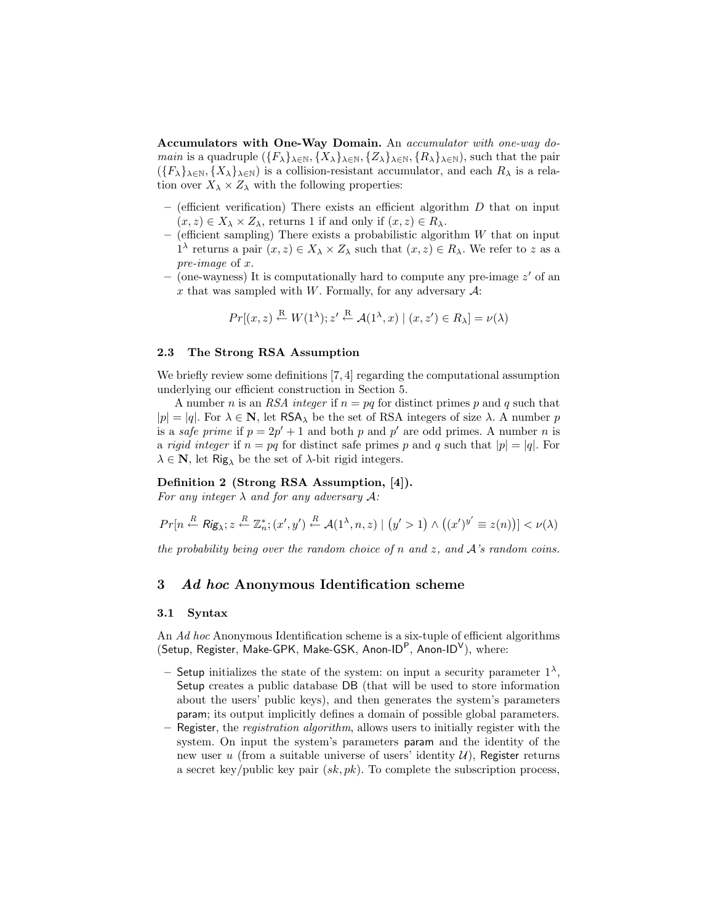Accumulators with One-Way Domain. An accumulator with one-way do*main* is a quadruple  $({F_{\lambda}})_{\lambda \in \mathbb{N}}, {X_{\lambda}}_{\lambda \in \mathbb{N}}, {Z_{\lambda}}_{\lambda \in \mathbb{N}}, {R_{\lambda}}_{\lambda \in \mathbb{N}}$ , such that the pair  $({F_{\lambda}}_{\lambda\in\mathbb{N}}, {X_{\lambda}}_{\lambda\in\mathbb{N}})$  is a collision-resistant accumulator, and each  $R_{\lambda}$  is a relation over  $X_{\lambda}\times Z_{\lambda}$  with the following properties:

- $-$  (efficient verification) There exists an efficient algorithm  $D$  that on input  $(x, z) \in X_\lambda \times Z_\lambda$ , returns 1 if and only if  $(x, z) \in R_\lambda$ .
- $-$  (efficient sampling) There exists a probabilistic algorithm  $W$  that on input <sup>1</sup><sup>λ</sup> returns a pair  $(x, z) ∈ X<sub>λ</sub> × Z<sub>λ</sub>$  such that  $(x, z) ∈ R<sub>λ</sub>$ . We refer to z as a pre-image of x.
- $-$  (one-wayness) It is computationally hard to compute any pre-image  $z'$  of an x that was sampled with W. Formally, for any adversary  $\mathcal{A}$ :

$$
Pr[(x, z) \stackrel{\text{R}}{\leftarrow} W(1^{\lambda}); z' \stackrel{\text{R}}{\leftarrow} \mathcal{A}(1^{\lambda}, x) \mid (x, z') \in R_{\lambda}] = \nu(\lambda)
$$

### 2.3 The Strong RSA Assumption

We briefly review some definitions [7, 4] regarding the computational assumption underlying our efficient construction in Section 5.

A number n is an RSA integer if  $n = pq$  for distinct primes p and q such that  $|p| = |q|$ . For  $\lambda \in \mathbb{N}$ , let RSA<sub> $\lambda$ </sub> be the set of RSA integers of size  $\lambda$ . A number p is a *safe prime* if  $p = 2p' + 1$  and both p and p' are odd primes. A number n is a rigid integer if  $n = pq$  for distinct safe primes p and q such that  $|p| = |q|$ . For  $\lambda \in \mathbf{N}$ , let Rig<sub> $\lambda$ </sub> be the set of  $\lambda$ -bit rigid integers.

### Definition 2 (Strong RSA Assumption, [4]).

For any integer  $\lambda$  and for any adversary  $\mathcal{A}$ :

$$
Pr[n \stackrel{R}{\leftarrow} Rig_{\lambda}; z \stackrel{R}{\leftarrow} \mathbb{Z}_n^*; (x', y') \stackrel{R}{\leftarrow} \mathcal{A}(1^{\lambda}, n, z) \mid (y' > 1) \wedge ((x')^{y'} \equiv z(n))] < \nu(\lambda)
$$

the probability being over the random choice of n and  $z$ , and  $A$ 's random coins.

### 3 Ad hoc Anonymous Identification scheme

#### 3.1 Syntax

An Ad hoc Anonymous Identification scheme is a six-tuple of efficient algorithms (Setup, Register, Make-GPK, Make-GSK, Anon-ID $^P$ , Anon-ID $^V$ ), where:

- Setup initializes the state of the system: on input a security parameter  $1^{\lambda}$ , Setup creates a public database DB (that will be used to store information about the users' public keys), and then generates the system's parameters param; its output implicitly defines a domain of possible global parameters.
- Register, the registration algorithm, allows users to initially register with the system. On input the system's parameters param and the identity of the new user u (from a suitable universe of users' identity  $U$ ), Register returns a secret key/public key pair  $(sk, pk)$ . To complete the subscription process,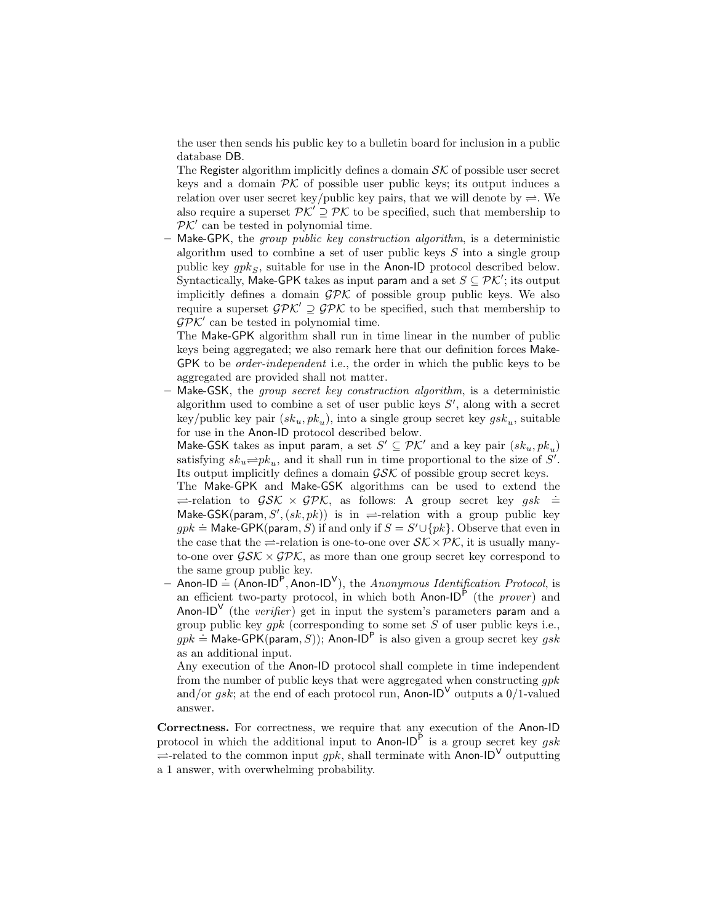the user then sends his public key to a bulletin board for inclusion in a public database DB.

- The Register algorithm implicitly defines a domain  $\mathcal{SK}$  of possible user secret keys and a domain  $\mathcal{PK}$  of possible user public keys; its output induces a relation over user secret key/public key pairs, that we will denote by  $\rightleftharpoons$ . We also require a superset  $\mathcal{PK}' \supseteq \mathcal{PK}$  to be specified, such that membership to  $\mathcal{PK}'$  can be tested in polynomial time.
- Make-GPK, the *group public key construction algorithm*, is a deterministic algorithm used to combine a set of user public keys  $S$  into a single group public key  $g p k<sub>S</sub>$ , suitable for use in the Anon-ID protocol described below. Syntactically, Make-GPK takes as input param and a set  $S \subseteq \mathcal{PK}'$ ; its output implicitly defines a domain  $\mathcal{GPK}$  of possible group public keys. We also require a superset  $\mathcal{GPK}' \supseteq \mathcal{GPK}$  to be specified, such that membership to  $\mathcal{GPK}'$  can be tested in polynomial time.

The Make-GPK algorithm shall run in time linear in the number of public keys being aggregated; we also remark here that our definition forces Make-GPK to be *order-independent* i.e., the order in which the public keys to be aggregated are provided shall not matter.

Make-GSK, the group secret key construction algorithm, is a deterministic algorithm used to combine a set of user public keys  $S'$ , along with a secret key/public key pair  $(sk_u, pk_u)$ , into a single group secret key  $gsk_u$ , suitable for use in the Anon-ID protocol described below.

Make-GSK takes as input param, a set  $S' \subseteq \mathcal{PK}'$  and a key pair  $(sk_u, pk_u)$ satisfying  $sk_u \rightleftharpoons pk_u$ , and it shall run in time proportional to the size of  $S'$ . Its output implicitly defines a domain  $\mathcal{GSK}$  of possible group secret keys.

The Make-GPK and Make-GSK algorithms can be used to extend the  $\Rightarrow$ -relation to  $\mathcal{GSK} \times \mathcal{GPK}$ , as follows: A group secret key  $gsk \stackrel{.}{=}$ Make-GSK(param,  $S'$ ,  $(sk, pk)$ ) is in  $\rightleftharpoons$ -relation with a group public key gpk  $\cong$  Make-GPK(param, S) if and only if  $S = S' \cup \{pk\}$ . Observe that even in the case that the  $\rightleftharpoons$ -relation is one-to-one over  $\mathcal{SK} \times \mathcal{PK}$ , it is usually manyto-one over  $\mathcal{G}\mathcal{S}\mathcal{K}\times\mathcal{G}\mathcal{P}\mathcal{K}$ , as more than one group secret key correspond to the same group public key.

– Anon-ID  $\stackrel{\text{def}}{=}$  (Anon-ID<sup>P</sup>, Anon-ID<sup>V</sup>), the *Anonymous Identification Protocol*, is an efficient two-party protocol, in which both Anon-ID<sup>P</sup> (the *prover*) and Anon-ID<sup>V</sup> (the *verifier*) get in input the system's parameters param and a group public key qpk (corresponding to some set  $S$  of user public keys i.e., gparally public key gpm (corresponding to some set  $S$  or their public keys i.e.,  $gpk \doteq \textsf{Make-GPK}(\textsf{param}, S)$ ); Anon-ID<sup>P</sup> is also given a group secret key gsk as an additional input.

Any execution of the Anon-ID protocol shall complete in time independent from the number of public keys that were aggregated when constructing gpk and/or *gsk*; at the end of each protocol run, Anon-ID<sup>V</sup> outputs a  $0/1$ -valued answer.

Correctness. For correctness, we require that any execution of the Anon-ID protocol in which the additional input to Anon-ID<sup>P</sup> is a group secret key  $gsk$  $\rightleftharpoons$ -related to the common input gpk, shall terminate with Anon-ID<sup>V</sup> outputting a 1 answer, with overwhelming probability.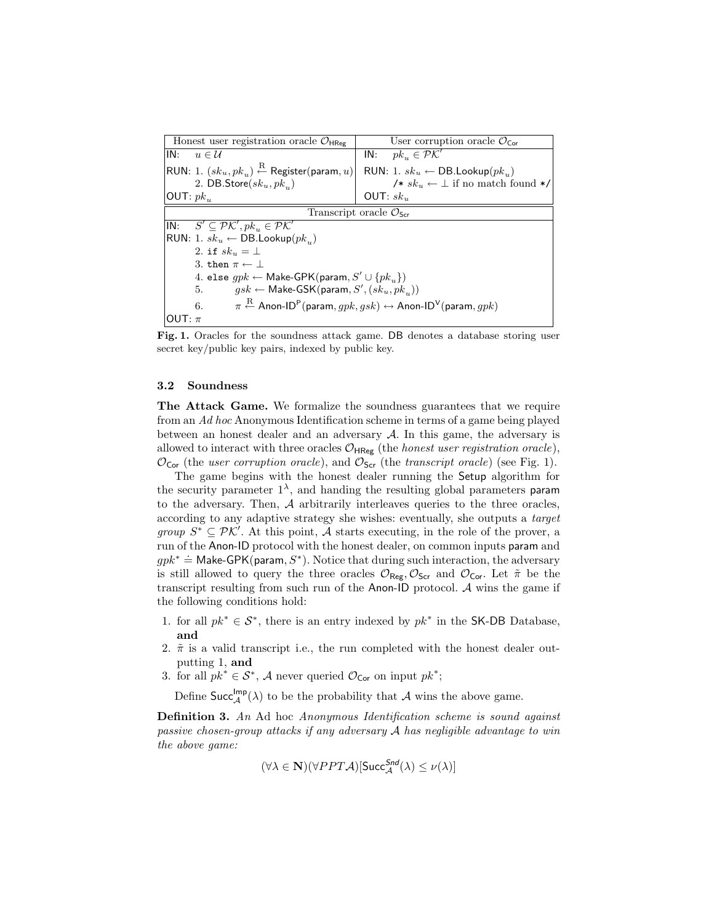Honest user registration oracle  $\mathcal{O}_{HReg}$  User corruption oracle  $\mathcal{O}_{Co}$  $IN: u \in \mathcal{U}$  IN:  $pk_u \in \mathcal{PK}'$ RUN: 1.  $(sk_u, pk_u)$  $\left\{ \frac{\mathrm{R}}{\leftarrow} \text{ Register}(\text{param}, u) \right\} \text{ RUN: } 1. \; sk_u \leftarrow \text{DB.Lookup}(pk_u)$ 2. DB.Store $(sk_u, pk_u)$ /\*  $sk_u \leftarrow \perp$  if no match found \*/ OUT:  $pk_u$   $\qquad \qquad$  OUT:  $sk_u$ Transcript oracle  $\mathcal{O}_{\mathsf{Scr}}$  $IN:$  $\mathscr{C}' \subseteq \mathcal{PK}', pk_u \in \mathcal{PK}'$ RUN: 1.  $sk_u \leftarrow \mathsf{DB}.\mathsf{Loop}(pk_u)$ 2. if  $sk_u = \perp$ 3. then  $\pi \leftarrow \bot$ 4. else  $gpk \leftarrow \mathsf{Make-GPK}(param, S' \cup \{pk_u\})$ 5.  $gsk \leftarrow \text{Make-GSK}(param, S', (\overset{\leftrightarrow}{sk_u}, \overset{\leftrightarrow}{pk_u}))$ 6.  $\pi \stackrel{\rm R}{\leftarrow}$  Anon-ID $^{\sf p}$ (param,  $gpk, gsk) \leftrightarrow$  Anon-ID $^{\sf V}$ (param,  $gpk$ ) OUT: π

Fig. 1. Oracles for the soundness attack game. DB denotes a database storing user secret key/public key pairs, indexed by public key.

### 3.2 Soundness

The Attack Game. We formalize the soundness guarantees that we require from an Ad hoc Anonymous Identification scheme in terms of a game being played between an honest dealer and an adversary  $A$ . In this game, the adversary is allowed to interact with three oracles  $\mathcal{O}_{HReg}$  (the *honest user registration oracle*),  $\mathcal{O}_{\mathsf{Cor}}$  (the user corruption oracle), and  $\mathcal{O}_{\mathsf{Scr}}$  (the transcript oracle) (see Fig. 1).

The game begins with the honest dealer running the Setup algorithm for the security parameter  $1^{\lambda}$ , and handing the resulting global parameters param to the adversary. Then, A arbitrarily interleaves queries to the three oracles, according to any adaptive strategy she wishes: eventually, she outputs a target group  $S^* \subseteq \mathcal{PK}'$ . At this point,  $\overline{A}$  starts executing, in the role of the prover, a run of the Anon-ID protocol with the honest dealer, on common inputs param and  $gpk^* \doteq$  Make-GPK(param,  $S^*$ ). Notice that during such interaction, the adversary is still allowed to query the three oracles  $\mathcal{O}_{\text{Reg}}$ ,  $\mathcal{O}_{\text{Scr}}$  and  $\mathcal{O}_{\text{Cor}}$ . Let  $\tilde{\pi}$  be the transcript resulting from such run of the Anon-ID protocol.  $A$  wins the game if the following conditions hold:

- 1. for all  $pk^* \in S^*$ , there is an entry indexed by  $pk^*$  in the SK-DB Database, and
- 2.  $\tilde{\pi}$  is a valid transcript i.e., the run completed with the honest dealer outputting 1, and
- 3. for all  $pk^* \in S^*$ , A never queried  $\mathcal{O}_{\mathsf{Cor}}$  on input  $pk^*$ ;

Define  $\text{Succ}_{\mathcal{A}}^{\text{Imp}}(\lambda)$  to be the probability that A wins the above game.

Definition 3. An Ad hoc Anonymous Identification scheme is sound against passive chosen-group attacks if any adversary A has negligible advantage to win the above game:

 $(\forall \lambda \in \mathbf{N})(\forall PPT\mathcal{A})$ [Succ $_{\mathcal{A}}^{\mathsf{Snd}}(\lambda) \leq \nu(\lambda)$ ]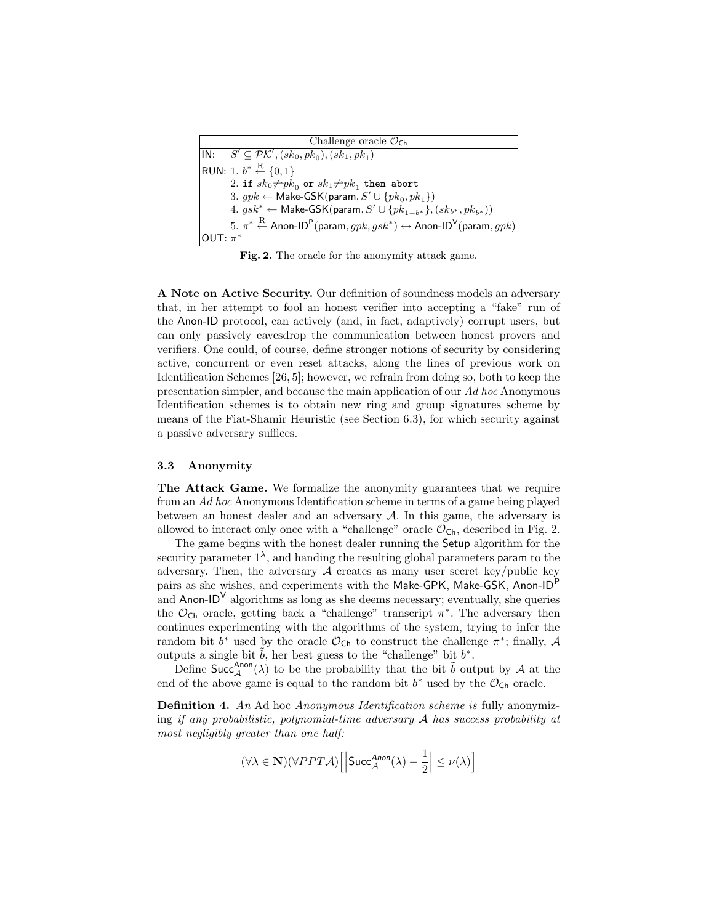| Challenge oracle $\mathcal{O}_{\mathsf{Ch}}$                                                                                                  |  |
|-----------------------------------------------------------------------------------------------------------------------------------------------|--|
| IN: $S' \subseteq \mathcal{PK}'$ , $(sk_0, pk_0$ , $(sk_1, pk_1$ )                                                                            |  |
| RUN: 1. $b^* \stackrel{\text{R}}{\leftarrow} \{0,1\}$                                                                                         |  |
| 2. if $sk_0 \neq pk_0$ or $sk_1 \neq pk_1$ then abort                                                                                         |  |
| 3. $gpk \leftarrow$ Make-GSK(param, $S' \cup \{pk_0, pk_1\}$ )                                                                                |  |
| 4. $gsk^*$ ← Make-GSK(param, $S' \cup \{pk_{1-b^*}\}, (sk_{b^*}, pk_{b^*}))$                                                                  |  |
| 5. $\pi^* \stackrel{\text{R}}{\leftarrow}$ Anon-ID <sup>P</sup> (param, $gpk, gsk^*$ ) $\leftrightarrow$ Anon-ID <sup>V</sup> (param, $gpk$ ) |  |
| OUT: $\pi^*$                                                                                                                                  |  |

Fig. 2. The oracle for the anonymity attack game.

A Note on Active Security. Our definition of soundness models an adversary that, in her attempt to fool an honest verifier into accepting a "fake" run of the Anon-ID protocol, can actively (and, in fact, adaptively) corrupt users, but can only passively eavesdrop the communication between honest provers and verifiers. One could, of course, define stronger notions of security by considering active, concurrent or even reset attacks, along the lines of previous work on Identification Schemes [26, 5]; however, we refrain from doing so, both to keep the presentation simpler, and because the main application of our Ad hoc Anonymous Identification schemes is to obtain new ring and group signatures scheme by means of the Fiat-Shamir Heuristic (see Section 6.3), for which security against a passive adversary suffices.

#### 3.3 Anonymity

The Attack Game. We formalize the anonymity guarantees that we require from an Ad hoc Anonymous Identification scheme in terms of a game being played between an honest dealer and an adversary  $A$ . In this game, the adversary is allowed to interact only once with a "challenge" oracle  $\mathcal{O}_{\mathsf{Ch}}$ , described in Fig. 2.

The game begins with the honest dealer running the Setup algorithm for the security parameter  $1^{\lambda}$ , and handing the resulting global parameters param to the adversary. Then, the adversary  $A$  creates as many user secret key/public key pairs as she wishes, and experiments with the Make-GPK, Make-GSK, Anon-ID<sup>P</sup> and Anon-ID<sup>V</sup> algorithms as long as she deems necessary; eventually, she queries the  $\mathcal{O}_{\mathsf{Ch}}$  oracle, getting back a "challenge" transcript  $\pi^*$ . The adversary then continues experimenting with the algorithms of the system, trying to infer the random bit  $b^*$  used by the oracle  $\mathcal{O}_{\mathsf{Ch}}$  to construct the challenge  $\pi^*$ ; finally, A outputs a single bit  $\tilde{b}$ , her best guess to the "challenge" bit  $b^*$ .

Define  $Succ^{Anon}_{\mathcal{A}}(\lambda)$  to be the probability that the bit  $\tilde{b}$  output by  $\mathcal{A}$  at the end of the above game is equal to the random bit  $b^*$  used by the  $\mathcal{O}_{\mathsf{Ch}}$  oracle.

Definition 4. An Ad hoc Anonymous Identification scheme is fully anonymizing if any probabilistic, polynomial-time adversary A has success probability at most negligibly greater than one half:

$$
(\forall \lambda \in \mathbf{N})(\forall PPT\mathcal{A})\Big[\Big|{\rm Succ}_{\mathcal{A}}^{\mathit{Anon}}(\lambda)-\frac{1}{2}\Big|\leq \nu(\lambda)\Big]
$$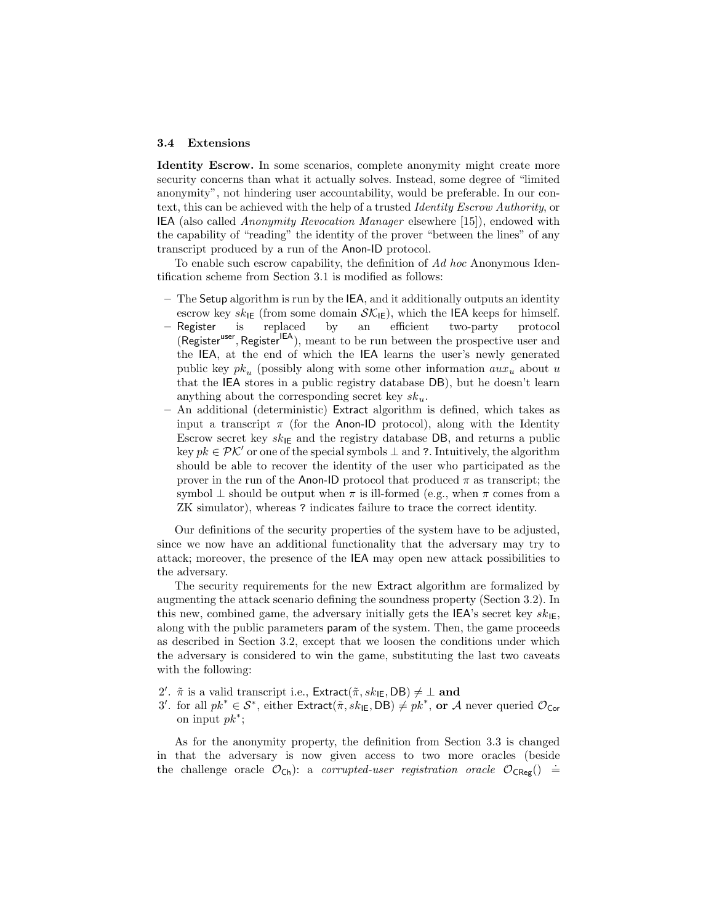#### 3.4 Extensions

Identity Escrow. In some scenarios, complete anonymity might create more security concerns than what it actually solves. Instead, some degree of "limited anonymity", not hindering user accountability, would be preferable. In our context, this can be achieved with the help of a trusted Identity Escrow Authority, or IEA (also called Anonymity Revocation Manager elsewhere [15]), endowed with the capability of "reading" the identity of the prover "between the lines" of any transcript produced by a run of the Anon-ID protocol.

To enable such escrow capability, the definition of Ad hoc Anonymous Identification scheme from Section 3.1 is modified as follows:

- The Setup algorithm is run by the IEA, and it additionally outputs an identity escrow key  $sk_{\text{IE}}$  (from some domain  $\mathcal{SK}_{\text{IE}}$ ), which the IEA keeps for himself.<br>Register is replaced by an efficient two-party protocol
- Register is replaced by an efficient two-party protocol (Register<sup>user</sup>, Register<sup>IEA</sup>), meant to be run between the prospective user and the IEA, at the end of which the IEA learns the user's newly generated public key  $pk_u$  (possibly along with some other information  $aux_u$  about u that the IEA stores in a public registry database DB), but he doesn't learn anything about the corresponding secret key  $sk_u$ .
- An additional (deterministic) Extract algorithm is defined, which takes as input a transcript  $\pi$  (for the Anon-ID protocol), along with the Identity Escrow secret key  $sk_{\text{IE}}$  and the registry database DB, and returns a public key  $pk \in \mathcal{PK}'$  or one of the special symbols  $\perp$  and ?. Intuitively, the algorithm should be able to recover the identity of the user who participated as the prover in the run of the Anon-ID protocol that produced  $\pi$  as transcript; the symbol  $\perp$  should be output when  $\pi$  is ill-formed (e.g., when  $\pi$  comes from a ZK simulator), whereas ? indicates failure to trace the correct identity.

Our definitions of the security properties of the system have to be adjusted, since we now have an additional functionality that the adversary may try to attack; moreover, the presence of the IEA may open new attack possibilities to the adversary.

The security requirements for the new Extract algorithm are formalized by augmenting the attack scenario defining the soundness property (Section 3.2). In this new, combined game, the adversary initially gets the IEA's secret key  $sk_{\text{IE}}$ , along with the public parameters param of the system. Then, the game proceeds as described in Section 3.2, except that we loosen the conditions under which the adversary is considered to win the game, substituting the last two caveats with the following:

- 2'.  $\tilde{\pi}$  is a valid transcript i.e.,  $\textsf{Extract}(\tilde{\pi},sk_{\textsf{IE}},\textsf{DB})\neq \bot$  and
- 3'. for all  $pk^* \in S^*$ , either  $\textsf{Extract}(\tilde{\pi}, sk_{\textsf{IE}}, \overline{\textsf{DB}}) \neq pk^*$ , or A never queried  $\mathcal{O}_{\textsf{Cor}}$ on input  $pk^*$ ;

As for the anonymity property, the definition from Section 3.3 is changed in that the adversary is now given access to two more oracles (beside the challenge oracle  $\mathcal{O}_{\mathsf{Ch}}$ : a *corrupted-user registration oracle*  $\mathcal{O}_{\mathsf{CReg}}()$  =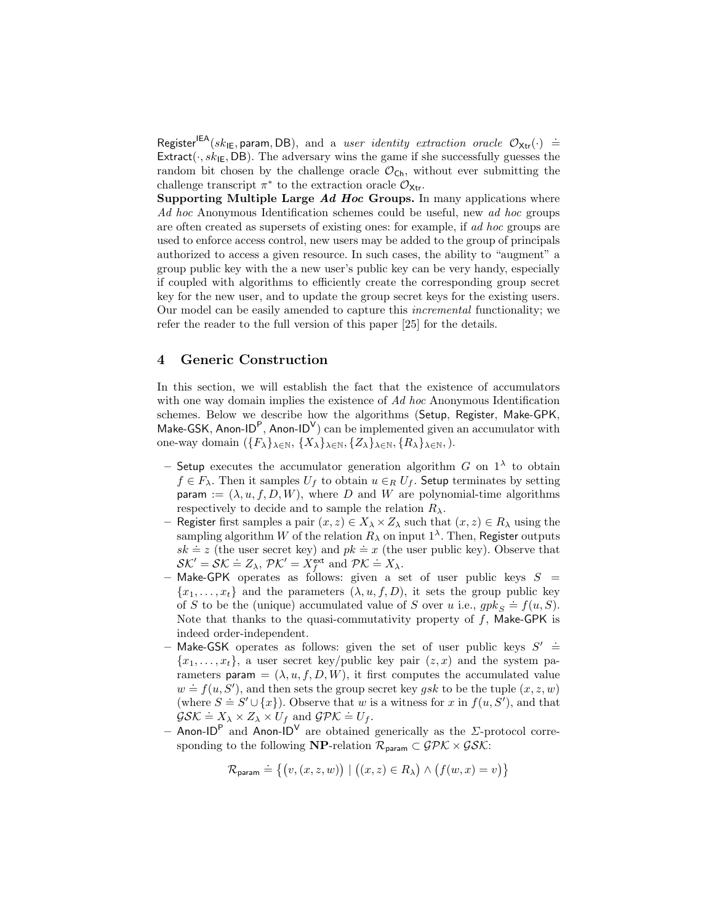Register<sup>IEA</sup>( $sk$ <sub>IE</sub>, param, DB), and a *user identity extraction oracle*  $\mathcal{O}_{\mathsf{Xtr}}(\cdot)$  = Extract( $\cdot$ ,  $sk_{\text{IE}}$ , DB). The adversary wins the game if she successfully guesses the random bit chosen by the challenge oracle  $\mathcal{O}_{\mathsf{Ch}}$ , without ever submitting the challenge transcript  $\pi^*$  to the extraction oracle  $\mathcal{O}_{\mathsf{X}tr}$ .

Supporting Multiple Large  $Ad Hoc$  Groups. In many applications where Ad hoc Anonymous Identification schemes could be useful, new ad hoc groups are often created as supersets of existing ones: for example, if ad hoc groups are used to enforce access control, new users may be added to the group of principals authorized to access a given resource. In such cases, the ability to "augment" a group public key with the a new user's public key can be very handy, especially if coupled with algorithms to efficiently create the corresponding group secret key for the new user, and to update the group secret keys for the existing users. Our model can be easily amended to capture this incremental functionality; we refer the reader to the full version of this paper [25] for the details.

### 4 Generic Construction

In this section, we will establish the fact that the existence of accumulators with one way domain implies the existence of Ad hoc Anonymous Identification schemes. Below we describe how the algorithms (Setup, Register, Make-GPK, Make-GSK, Anon-ID<sup>P</sup>, Anon-ID<sup>V</sup>) can be implemented given an accumulator with one-way domain  $(\{F_\lambda\}_{\lambda\in\mathbb{N}}, \{X_\lambda\}_{\lambda\in\mathbb{N}}, \{Z_\lambda\}_{\lambda\in\mathbb{N}}, \{R_\lambda\}_{\lambda\in\mathbb{N}},).$ 

- Setup executes the accumulator generation algorithm G on  $1^{\lambda}$  to obtain  $f \in F_{\lambda}$ . Then it samples  $U_f$  to obtain  $u \in_R U_f$ . Setup terminates by setting param :=  $(\lambda, u, f, D, W)$ , where D and W are polynomial-time algorithms respectively to decide and to sample the relation  $R_{\lambda}$ .
- Register first samples a pair  $(x, z) \in X_\lambda \times Z_\lambda$  such that  $(x, z) \in R_\lambda$  using the sampling algorithm  $W$  of the relation  $R_\lambda$  on input  $1^\lambda$ . Then, Register outputs  $sk \doteq z$  (the user secret key) and  $pk \doteq x$  (the user public key). Observe that  $SK' = SK \doteq Z_{\lambda}, \mathcal{PK}' = X_{f}^{\text{ext}}$  and  $\mathcal{PK} \doteq X_{\lambda}$ .
- Make-GPK operates as follows: given a set of user public keys  $S =$  ${x_1, \ldots, x_t}$  and the parameters  $(\lambda, u, f, D)$ , it sets the group public key of S to be the (unique) accumulated value of S over u i.e.,  $gpk_S = f(u, S)$ . Note that thanks to the quasi-commutativity property of  $f$ , Make-GPK is indeed order-independent.
- Make-GSK operates as follows: given the set of user public keys  $S' \doteq$  ${x_1, \ldots, x_t}$ , a user secret key/public key pair  $(z, x)$  and the system parameters param =  $(\lambda, u, f, D, W)$ , it first computes the accumulated value  $w \doteq f(u, S')$ , and then sets the group secret key *gsk* to be the tuple  $(x, z, w)$  $w = f(x, y, z)$ , and then sees the group secret key got to be the tuple  $(x, z, w)$ <br>(where  $S = S' \cup \{x\}$ ). Observe that w is a witness for x in  $f(u, S')$ , and that  $\mathcal{G}\mathcal{S}\mathcal{K} \doteq X_{\lambda} \times Z_{\lambda} \times U_f$  and  $\mathcal{G}\mathcal{P}\mathcal{K} \doteq U_f$ .
- Anon-ID<sup>P</sup> and Anon-ID<sup>V</sup> are obtained generically as the  $\Sigma$ -protocol corresponding to the following **NP**-relation  $\mathcal{R}_{\text{param}} \subset \mathcal{GPK} \times \mathcal{GSK}$ :

$$
\mathcal{R}_{\text{param}} \doteq \{ (v, (x, z, w)) \mid ((x, z) \in R_{\lambda}) \land (f(w, x) = v) \}
$$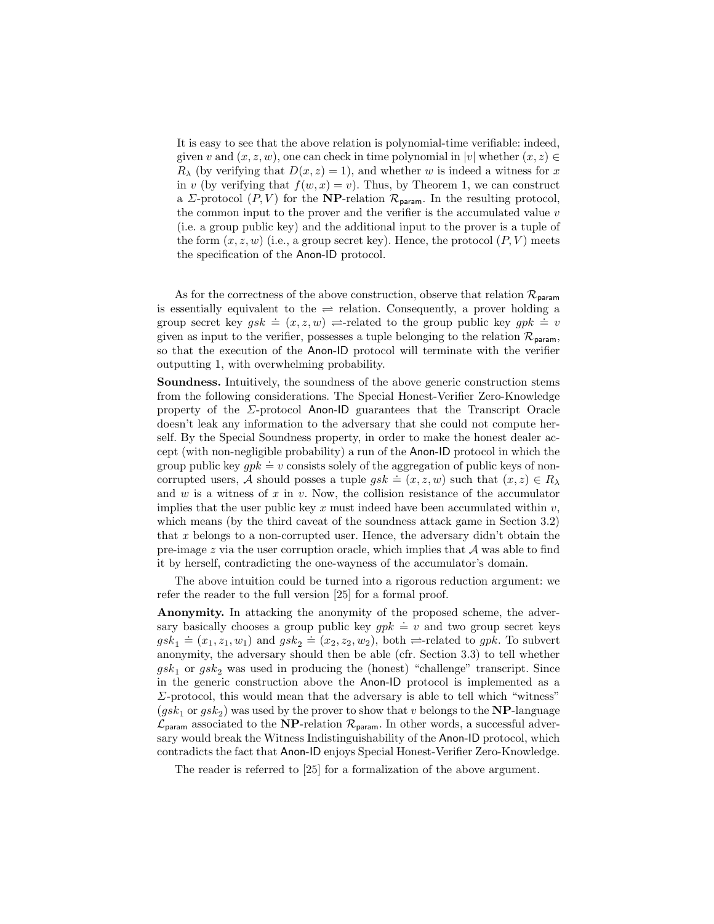It is easy to see that the above relation is polynomial-time verifiable: indeed, given v and  $(x, z, w)$ , one can check in time polynomial in |v| whether  $(x, z) \in$  $R_{\lambda}$  (by verifying that  $D(x, z) = 1$ ), and whether w is indeed a witness for x in v (by verifying that  $f(w, x) = v$ ). Thus, by Theorem 1, we can construct a  $\Sigma$ -protocol  $(P, V)$  for the **NP**-relation  $\mathcal{R}_{\text{param}}$ . In the resulting protocol, the common input to the prover and the verifier is the accumulated value  $v$ (i.e. a group public key) and the additional input to the prover is a tuple of the form  $(x, z, w)$  (i.e., a group secret key). Hence, the protocol  $(P, V)$  meets the specification of the Anon-ID protocol.

As for the correctness of the above construction, observe that relation  $\mathcal{R}_{\text{param}}$ is essentially equivalent to the  $\rightleftharpoons$  relation. Consequently, a prover holding a group secret key  $qsk = (x, z, w) \rightleftharpoons$ -related to the group public key  $qpk = v$ given as input to the verifier, possesses a tuple belonging to the relation  $\mathcal{R}_{\text{param}}$ , so that the execution of the Anon-ID protocol will terminate with the verifier outputting 1, with overwhelming probability.

Soundness. Intuitively, the soundness of the above generic construction stems from the following considerations. The Special Honest-Verifier Zero-Knowledge property of the Σ-protocol Anon-ID guarantees that the Transcript Oracle doesn't leak any information to the adversary that she could not compute herself. By the Special Soundness property, in order to make the honest dealer accept (with non-negligible probability) a run of the Anon-ID protocol in which the group public key  $gpk = v$  consists solely of the aggregation of public keys of noncorrupted users, A should posses a tuple  $qsk \doteq (x, z, w)$  such that  $(x, z) \in R_\lambda$ and  $w$  is a witness of  $x$  in  $v$ . Now, the collision resistance of the accumulator implies that the user public key x must indeed have been accumulated within  $v$ , which means (by the third caveat of the soundness attack game in Section 3.2) that x belongs to a non-corrupted user. Hence, the adversary didn't obtain the pre-image  $z$  via the user corruption oracle, which implies that  $A$  was able to find it by herself, contradicting the one-wayness of the accumulator's domain.

The above intuition could be turned into a rigorous reduction argument: we refer the reader to the full version [25] for a formal proof.

Anonymity. In attacking the anonymity of the proposed scheme, the adversary basically chooses a group public key  $gpk = v$  and two group secret keys  $gsk_1 = (x_1, z_1, w_1)$  and  $gsk_2 = (x_2, z_2, w_2)$ , both  $\rightleftharpoons$ -related to  $gpk$ . To subvert anonymity, the adversary should then be able (cfr. Section 3.3) to tell whether  $gsk_1$  or  $gsk_2$  was used in producing the (honest) "challenge" transcript. Since in the generic construction above the Anon-ID protocol is implemented as a  $\Sigma$ -protocol, this would mean that the adversary is able to tell which "witness"  $(gsk_1 \text{ or } gsk_2)$  was used by the prover to show that v belongs to the **NP**-language  $\mathcal{L}_{\text{param}}$  associated to the NP-relation  $\mathcal{R}_{\text{param}}$ . In other words, a successful adversary would break the Witness Indistinguishability of the Anon-ID protocol, which contradicts the fact that Anon-ID enjoys Special Honest-Verifier Zero-Knowledge.

The reader is referred to [25] for a formalization of the above argument.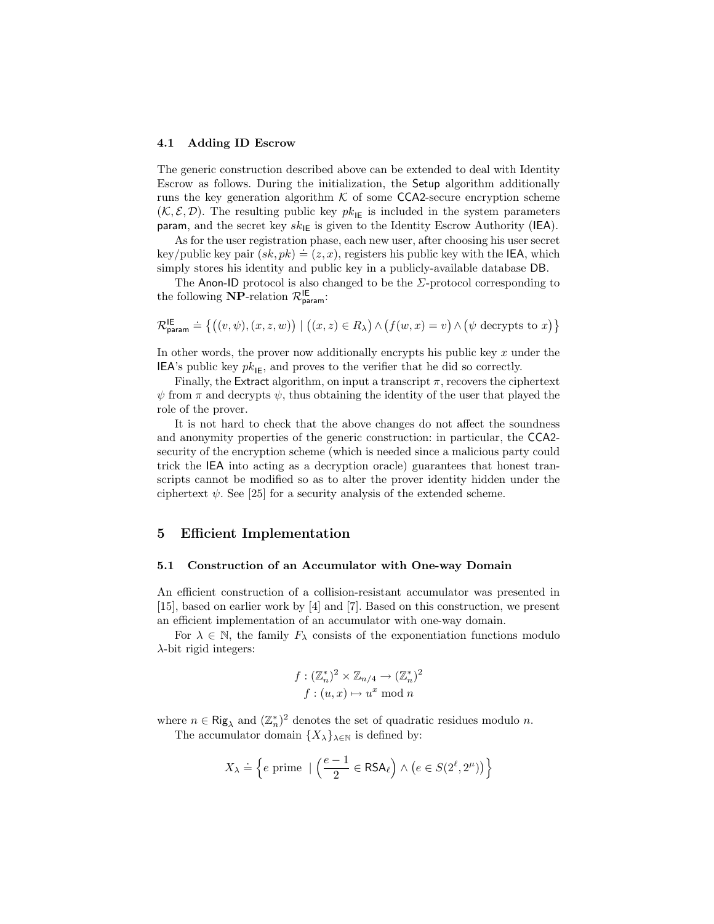#### 4.1 Adding ID Escrow

The generic construction described above can be extended to deal with Identity Escrow as follows. During the initialization, the Setup algorithm additionally runs the key generation algorithm  $K$  of some CCA2-secure encryption scheme  $(\mathcal{K}, \mathcal{E}, \mathcal{D})$ . The resulting public key  $pk_{\mathsf{IE}}$  is included in the system parameters param, and the secret key  $sk_{\text{IE}}$  is given to the Identity Escrow Authority (IEA).

As for the user registration phase, each new user, after choosing his user secret  $\text{key}/\text{public key pair } (sk, pk) = (z, x)$ , registers his public key with the IEA, which simply stores his identity and public key in a publicly-available database DB.

The Anon-ID protocol is also changed to be the  $\Sigma$ -protocol corresponding to the following **NP**-relation  $\mathcal{R}^{\mathsf{IE}}_{\mathsf{param}}$ :

$$
\mathcal{R}_{\text{param}}^{\text{IE}} \doteq \big\{\big((v,\psi),(x,z,w)\big) \mid \big((x,z) \in R_{\lambda}\big) \wedge \big(f(w,x)=v\big) \wedge \big(\psi \text{ decrypts to } x\big)\big\}
$$

In other words, the prover now additionally encrypts his public key  $x$  under the IEA's public key  $pk_{\text{IE}}$ , and proves to the verifier that he did so correctly.

Finally, the Extract algorithm, on input a transcript  $\pi$ , recovers the ciphertext  $\psi$  from  $\pi$  and decrypts  $\psi$ , thus obtaining the identity of the user that played the role of the prover.

It is not hard to check that the above changes do not affect the soundness and anonymity properties of the generic construction: in particular, the CCA2 security of the encryption scheme (which is needed since a malicious party could trick the IEA into acting as a decryption oracle) guarantees that honest transcripts cannot be modified so as to alter the prover identity hidden under the ciphertext  $\psi$ . See [25] for a security analysis of the extended scheme.

### 5 Efficient Implementation

### 5.1 Construction of an Accumulator with One-way Domain

An efficient construction of a collision-resistant accumulator was presented in [15], based on earlier work by [4] and [7]. Based on this construction, we present an efficient implementation of an accumulator with one-way domain.

For  $\lambda \in \mathbb{N}$ , the family  $F_{\lambda}$  consists of the exponentiation functions modulo  $\lambda$ -bit rigid integers:

$$
f: (\mathbb{Z}_n^*)^2 \times \mathbb{Z}_{n/4} \to (\mathbb{Z}_n^*)^2
$$

$$
f: (u, x) \mapsto u^x \bmod n
$$

where  $n \in \text{Rig}_{\lambda}$  and  $(\mathbb{Z}_n^*)^2$  denotes the set of quadratic residues modulo n.

The accumulator domain  $\{X_{\lambda}\}_{\lambda\in\mathbb{N}}$  is defined by:

$$
X_{\lambda} \doteq \left\{ e \text{ prime } \mid \left( \frac{e-1}{2} \in \text{RSA}_{\ell} \right) \land \left( e \in S(2^{\ell}, 2^{\mu}) \right) \right\}
$$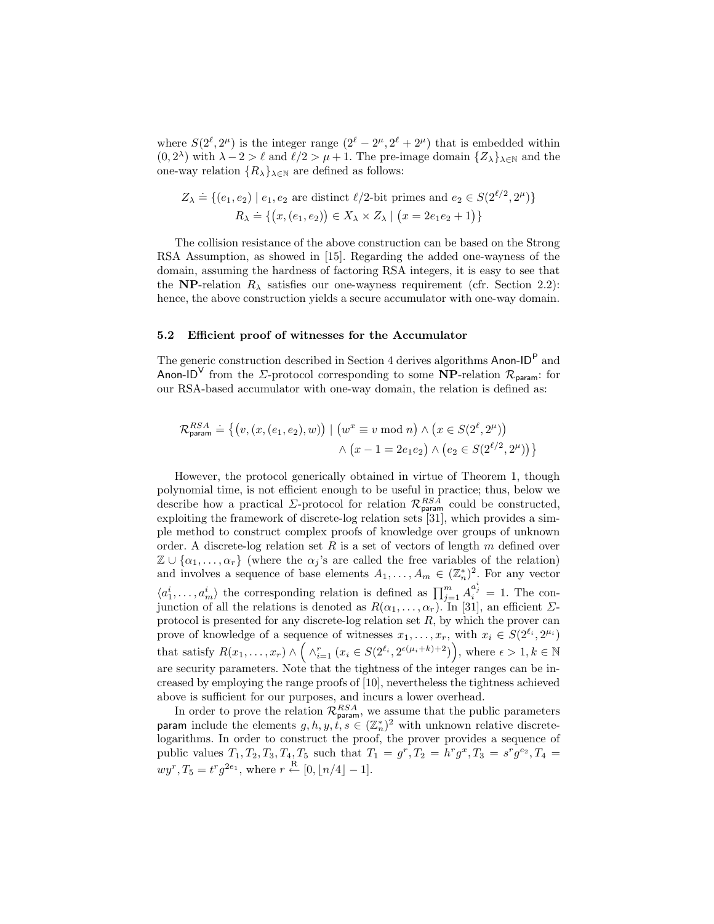where  $S(2^{\ell}, 2^{\mu})$  is the integer range  $(2^{\ell} - 2^{\mu}, 2^{\ell} + 2^{\mu})$  that is embedded within  $(0, 2^{\lambda})$  with  $\lambda - 2 > \ell$  and  $\ell/2 > \mu + 1$ . The pre-image domain  $\{Z_{\lambda}\}_{\lambda \in \mathbb{N}}$  and the one-way relation  $\{R_{\lambda}\}_{\lambda \in \mathbb{N}}$  are defined as follows:

$$
Z_{\lambda} \doteq \{ (e_1, e_2) \mid e_1, e_2 \text{ are distinct } \ell/2 \text{-bit primes and } e_2 \in S(2^{\ell/2}, 2^{\mu}) \}
$$

$$
R_{\lambda} \doteq \{ (x, (e_1, e_2)) \in X_{\lambda} \times Z_{\lambda} \mid (x = 2e_1e_2 + 1) \}
$$

The collision resistance of the above construction can be based on the Strong RSA Assumption, as showed in [15]. Regarding the added one-wayness of the domain, assuming the hardness of factoring RSA integers, it is easy to see that the NP-relation  $R_{\lambda}$  satisfies our one-wayness requirement (cfr. Section 2.2): hence, the above construction yields a secure accumulator with one-way domain.

#### 5.2 Efficient proof of witnesses for the Accumulator

The generic construction described in Section 4 derives algorithms Anon-ID<sup>P</sup> and Anon-ID<sup>V</sup> from the *Σ*-protocol corresponding to some **NP**-relation  $\mathcal{R}_{\text{param}}$ : for our RSA-based accumulator with one-way domain, the relation is defined as:

$$
\mathcal{R}_{\text{param}}^{RSA} \doteq \{ (v, (x, (e_1, e_2), w)) \mid (w^x \equiv v \bmod n) \land (x \in S(2^{\ell}, 2^{\mu})) \land (x - 1 = 2e_1e_2) \land (e_2 \in S(2^{\ell/2}, 2^{\mu})) \}
$$

However, the protocol generically obtained in virtue of Theorem 1, though polynomial time, is not efficient enough to be useful in practice; thus, below we describe how a practical  $\Sigma$ -protocol for relation  $\mathcal{R}_{\text{param}}^{RSA}$  could be constructed, exploiting the framework of discrete-log relation sets [31], which provides a simple method to construct complex proofs of knowledge over groups of unknown order. A discrete-log relation set  $R$  is a set of vectors of length  $m$  defined over  $\mathbb{Z} \cup \{\alpha_1, \ldots, \alpha_r\}$  (where the  $\alpha_j$ 's are called the free variables of the relation) and involves a sequence of base elements  $A_1, \ldots, A_m \in (\mathbb{Z}_n^*)^2$ . For any vector  $\langle a_1^i, \ldots, a_m^i \rangle$  the corresponding relation is defined as  $\prod_{j=1}^m A_i^{a_j^i} = 1$ . The conjunction of all the relations is denoted as  $R(\alpha_1, \ldots, \alpha_r)$ . In [31], an efficient  $\Sigma$ protocol is presented for any discrete-log relation set  $R$ , by which the prover can prove of knowledge of a sequence of witnesses  $x_1, \ldots, x_r$ , with  $x_i \in S(2^{\ell_i}, 2^{\mu_i})$ that satisfy  $R(x_1,\ldots,x_r) \wedge \left(\wedge_{i=1}^r (x_i \in S(2^{\ell_i}, 2^{\epsilon(\mu_i+k)+2})\right)$ , where  $\epsilon > 1, k \in \mathbb{N}$ are security parameters. Note that the tightness of the integer ranges can be increased by employing the range proofs of [10], nevertheless the tightness achieved above is sufficient for our purposes, and incurs a lower overhead.

In order to prove the relation  $\mathcal{R}_{\text{param}}^{RSA}$ , we assume that the public parameters param include the elements  $g, h, y, t, s \in (\mathbb{Z}_n^*)^2$  with unknown relative discretelogarithms. In order to construct the proof, the prover provides a sequence of public values  $T_1, T_2, T_3, T_4, T_5$  such that  $T_1 = g^r, T_2 = h^r g^x, T_3 = s^r g^{e_2}, T_4 =$  $wy^{r}, T_{5} = t^{r}g^{2e_{1}}, \text{ where } r \stackrel{\text{R}}{\leftarrow} [0, \lfloor n/4 \rfloor - 1].$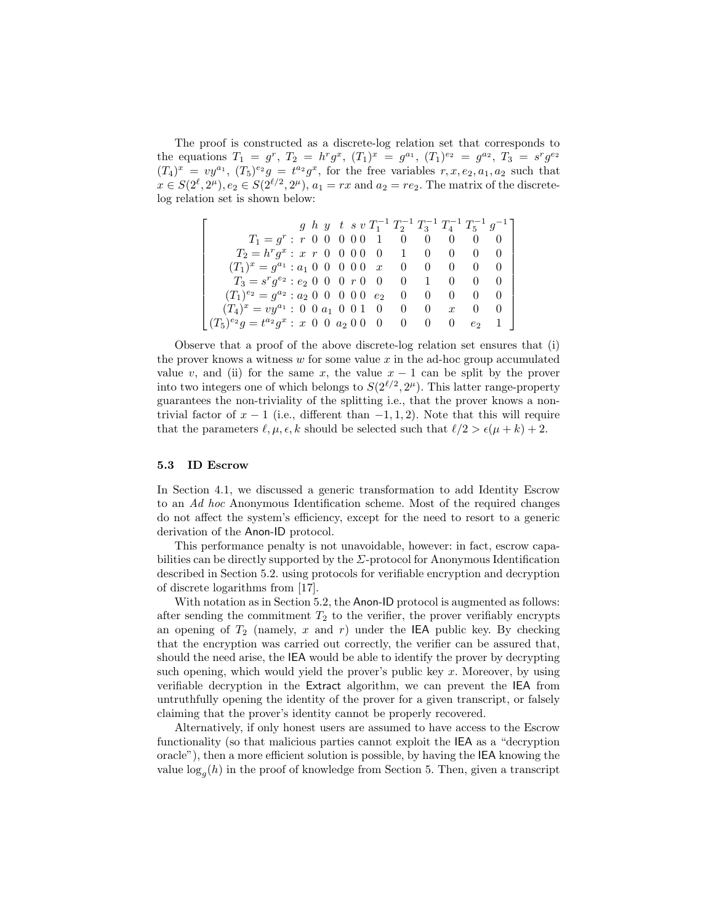The proof is constructed as a discrete-log relation set that corresponds to the equations  $T_1 = g^r$ ,  $T_2 = h^r g^x$ ,  $(T_1)^x = g^{a_1}$ ,  $(T_1)^{e_2} = g^{a_2}$ ,  $T_3 = s^r g^{e_2}$  $(T_4)^x = vy^{a_1}, (T_5)^{e_2}g = t^{a_2}g^x$ , for the free variables  $r, x, e_2, a_1, a_2$  such that  $x \in S(2^{\ell}, 2^{\mu}), e_2 \in S(2^{\ell/2}, 2^{\mu}), a_1 = rx$  and  $a_2 = re_2$ . The matrix of the discretelog relation set is shown below:

 g h y t s v T −1 <sup>1</sup> T −1 <sup>2</sup> T −1 <sup>3</sup> T −1 <sup>4</sup> T −1 5 g −1 T<sup>1</sup> = g r : r 0 0 0 0 0 1 0 0 0 0 0 T<sup>2</sup> = h r g x : x r 0 0 0 0 0 1 0 0 0 0 (T1) <sup>x</sup> = g a1 : a<sup>1</sup> 0 0 0 0 0 x 0 0 0 0 0 T<sup>3</sup> = s r g e2 : e<sup>2</sup> 0 0 0 r 0 0 0 1 0 0 0 (T1) <sup>e</sup><sup>2</sup> = g a2 : a<sup>2</sup> 0 0 0 0 0 e<sup>2</sup> 0 0 0 0 0 (T4) <sup>x</sup> = vy a1 : 0 0 a<sup>1</sup> 0 0 1 0 0 0 x 0 0 (T5) <sup>e</sup><sup>2</sup> g = t <sup>a</sup><sup>2</sup> g x : x 0 0 a<sup>2</sup> 0 0 0 0 0 0 e<sup>2</sup> 1 

Observe that a proof of the above discrete-log relation set ensures that (i) the prover knows a witness  $w$  for some value  $x$  in the ad-hoc group accumulated value v, and (ii) for the same x, the value  $x - 1$  can be split by the prover into two integers one of which belongs to  $S(2^{\ell/2}, 2^{\mu})$ . This latter range-property guarantees the non-triviality of the splitting i.e., that the prover knows a nontrivial factor of  $x - 1$  (i.e., different than  $-1, 1, 2$ ). Note that this will require that the parameters  $\ell, \mu, \epsilon, k$  should be selected such that  $\ell/2 > \epsilon(\mu + k) + 2$ .

#### 5.3 ID Escrow

In Section 4.1, we discussed a generic transformation to add Identity Escrow to an Ad hoc Anonymous Identification scheme. Most of the required changes do not affect the system's efficiency, except for the need to resort to a generic derivation of the Anon-ID protocol.

This performance penalty is not unavoidable, however: in fact, escrow capabilities can be directly supported by the  $\Sigma$ -protocol for Anonymous Identification described in Section 5.2. using protocols for verifiable encryption and decryption of discrete logarithms from [17].

With notation as in Section 5.2, the Anon-ID protocol is augmented as follows: after sending the commitment  $T_2$  to the verifier, the prover verifiably encrypts an opening of  $T_2$  (namely, x and r) under the IEA public key. By checking that the encryption was carried out correctly, the verifier can be assured that, should the need arise, the IEA would be able to identify the prover by decrypting such opening, which would yield the prover's public key  $x$ . Moreover, by using verifiable decryption in the Extract algorithm, we can prevent the IEA from untruthfully opening the identity of the prover for a given transcript, or falsely claiming that the prover's identity cannot be properly recovered.

Alternatively, if only honest users are assumed to have access to the Escrow functionality (so that malicious parties cannot exploit the IEA as a "decryption oracle"), then a more efficient solution is possible, by having the IEA knowing the value  $\log_g(h)$  in the proof of knowledge from Section 5. Then, given a transcript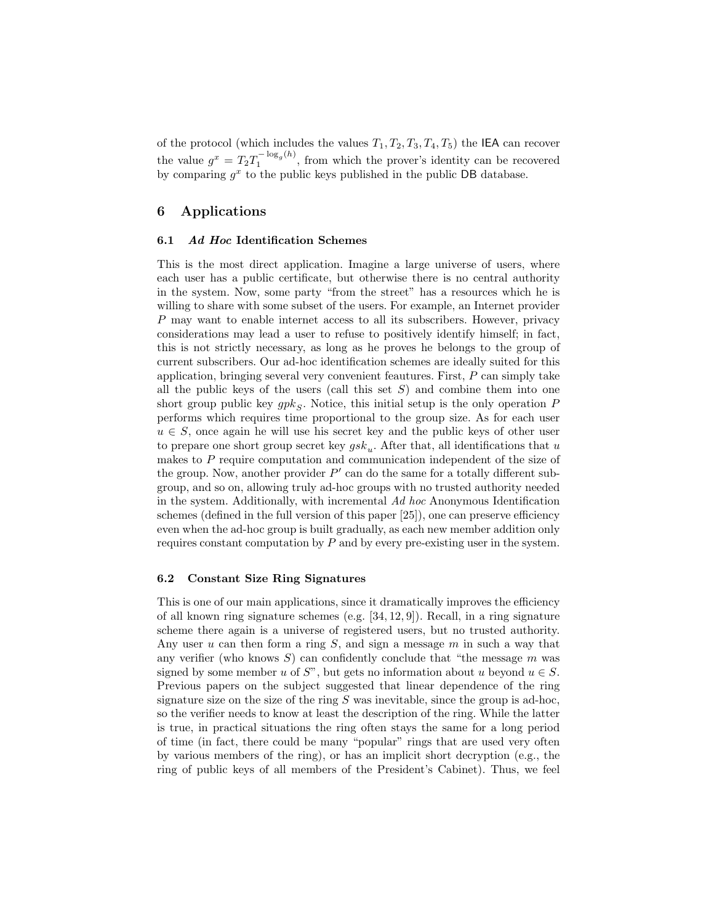of the protocol (which includes the values  $T_1, T_2, T_3, T_4, T_5$ ) the IEA can recover the value  $g^x = T_2 T_1^{-\log_g(h)}$  $\int_1^{\log_g(n)}$ , from which the prover's identity can be recovered by comparing  $g^x$  to the public keys published in the public DB database.

## 6 Applications

#### 6.1 Ad Hoc Identification Schemes

This is the most direct application. Imagine a large universe of users, where each user has a public certificate, but otherwise there is no central authority in the system. Now, some party "from the street" has a resources which he is willing to share with some subset of the users. For example, an Internet provider P may want to enable internet access to all its subscribers. However, privacy considerations may lead a user to refuse to positively identify himself; in fact, this is not strictly necessary, as long as he proves he belongs to the group of current subscribers. Our ad-hoc identification schemes are ideally suited for this application, bringing several very convenient feautures. First, P can simply take all the public keys of the users (call this set  $S$ ) and combine them into one short group public key  $gpk_S$ . Notice, this initial setup is the only operation  $P$ performs which requires time proportional to the group size. As for each user  $u \in S$ , once again he will use his secret key and the public keys of other user to prepare one short group secret key  $gsk_u$ . After that, all identifications that u makes to P require computation and communication independent of the size of the group. Now, another provider  $P'$  can do the same for a totally different subgroup, and so on, allowing truly ad-hoc groups with no trusted authority needed in the system. Additionally, with incremental Ad hoc Anonymous Identification schemes (defined in the full version of this paper [25]), one can preserve efficiency even when the ad-hoc group is built gradually, as each new member addition only requires constant computation by  $P$  and by every pre-existing user in the system.

### 6.2 Constant Size Ring Signatures

This is one of our main applications, since it dramatically improves the efficiency of all known ring signature schemes (e.g. [34, 12, 9]). Recall, in a ring signature scheme there again is a universe of registered users, but no trusted authority. Any user  $u$  can then form a ring  $S$ , and sign a message  $m$  in such a way that any verifier (who knows  $S$ ) can confidently conclude that "the message m was signed by some member u of  $S$ ", but gets no information about u beyond  $u \in S$ . Previous papers on the subject suggested that linear dependence of the ring signature size on the size of the ring  $S$  was inevitable, since the group is ad-hoc, so the verifier needs to know at least the description of the ring. While the latter is true, in practical situations the ring often stays the same for a long period of time (in fact, there could be many "popular" rings that are used very often by various members of the ring), or has an implicit short decryption (e.g., the ring of public keys of all members of the President's Cabinet). Thus, we feel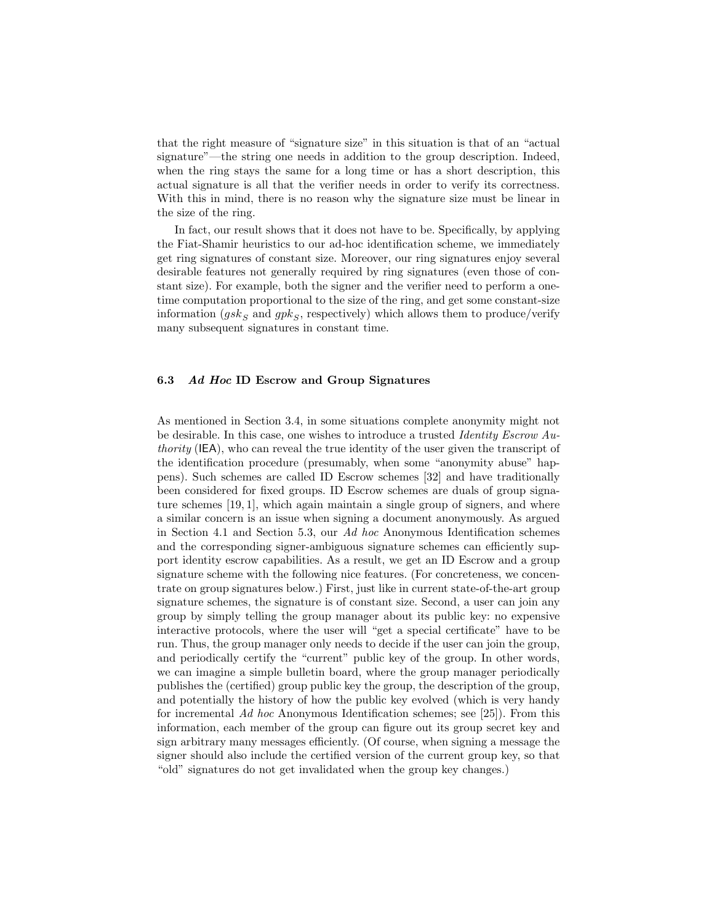that the right measure of "signature size" in this situation is that of an "actual signature"—the string one needs in addition to the group description. Indeed, when the ring stays the same for a long time or has a short description, this actual signature is all that the verifier needs in order to verify its correctness. With this in mind, there is no reason why the signature size must be linear in the size of the ring.

In fact, our result shows that it does not have to be. Specifically, by applying the Fiat-Shamir heuristics to our ad-hoc identification scheme, we immediately get ring signatures of constant size. Moreover, our ring signatures enjoy several desirable features not generally required by ring signatures (even those of constant size). For example, both the signer and the verifier need to perform a onetime computation proportional to the size of the ring, and get some constant-size information ( $gsk_S$  and  $gpk_S$ , respectively) which allows them to produce/verify many subsequent signatures in constant time.

### 6.3 Ad Hoc ID Escrow and Group Signatures

As mentioned in Section 3.4, in some situations complete anonymity might not be desirable. In this case, one wishes to introduce a trusted *Identity Escrow Au*thority (IEA), who can reveal the true identity of the user given the transcript of the identification procedure (presumably, when some "anonymity abuse" happens). Such schemes are called ID Escrow schemes [32] and have traditionally been considered for fixed groups. ID Escrow schemes are duals of group signature schemes [19, 1], which again maintain a single group of signers, and where a similar concern is an issue when signing a document anonymously. As argued in Section 4.1 and Section 5.3, our Ad hoc Anonymous Identification schemes and the corresponding signer-ambiguous signature schemes can efficiently support identity escrow capabilities. As a result, we get an ID Escrow and a group signature scheme with the following nice features. (For concreteness, we concentrate on group signatures below.) First, just like in current state-of-the-art group signature schemes, the signature is of constant size. Second, a user can join any group by simply telling the group manager about its public key: no expensive interactive protocols, where the user will "get a special certificate" have to be run. Thus, the group manager only needs to decide if the user can join the group, and periodically certify the "current" public key of the group. In other words, we can imagine a simple bulletin board, where the group manager periodically publishes the (certified) group public key the group, the description of the group, and potentially the history of how the public key evolved (which is very handy for incremental Ad hoc Anonymous Identification schemes; see [25]). From this information, each member of the group can figure out its group secret key and sign arbitrary many messages efficiently. (Of course, when signing a message the signer should also include the certified version of the current group key, so that "old" signatures do not get invalidated when the group key changes.)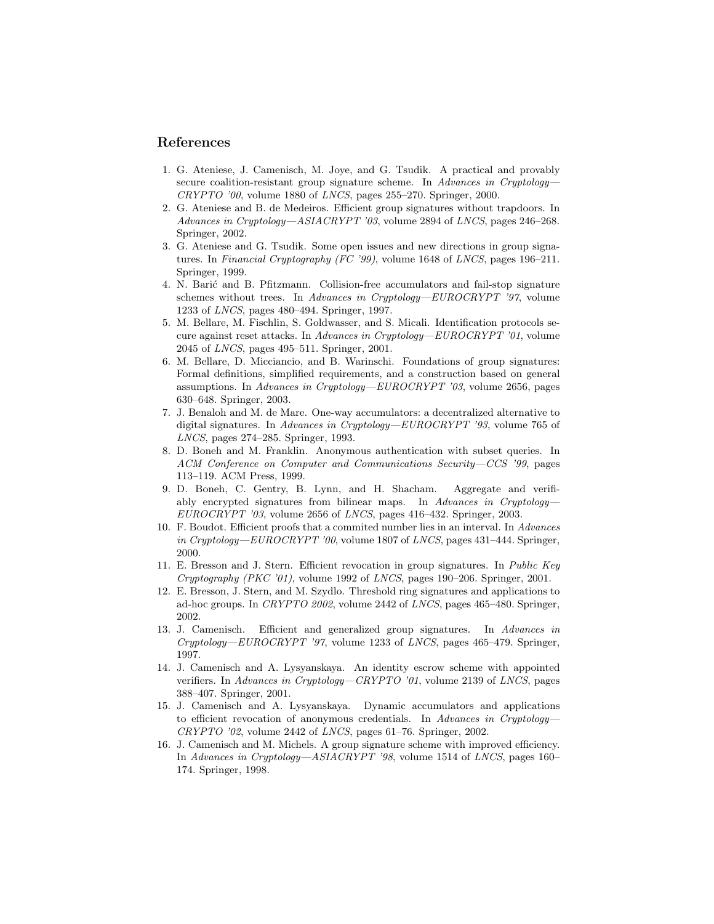### References

- 1. G. Ateniese, J. Camenisch, M. Joye, and G. Tsudik. A practical and provably secure coalition-resistant group signature scheme. In Advances in Cryptology-CRYPTO '00, volume 1880 of LNCS, pages 255–270. Springer, 2000.
- 2. G. Ateniese and B. de Medeiros. Efficient group signatures without trapdoors. In Advances in Cryptology—ASIACRYPT '03, volume 2894 of LNCS, pages 246–268. Springer, 2002.
- 3. G. Ateniese and G. Tsudik. Some open issues and new directions in group signatures. In Financial Cryptography (FC '99), volume 1648 of LNCS, pages 196–211. Springer, 1999.
- 4. N. Bari´c and B. Pfitzmann. Collision-free accumulators and fail-stop signature schemes without trees. In Advances in Cryptology—EUROCRYPT '97, volume 1233 of LNCS, pages 480–494. Springer, 1997.
- 5. M. Bellare, M. Fischlin, S. Goldwasser, and S. Micali. Identification protocols secure against reset attacks. In Advances in Cryptology—EUROCRYPT '01, volume 2045 of LNCS, pages 495–511. Springer, 2001.
- 6. M. Bellare, D. Micciancio, and B. Warinschi. Foundations of group signatures: Formal definitions, simplified requirements, and a construction based on general assumptions. In Advances in Cryptology—EUROCRYPT '03, volume 2656, pages 630–648. Springer, 2003.
- 7. J. Benaloh and M. de Mare. One-way accumulators: a decentralized alternative to digital signatures. In Advances in Cryptology—EUROCRYPT '93, volume 765 of LNCS, pages 274–285. Springer, 1993.
- 8. D. Boneh and M. Franklin. Anonymous authentication with subset queries. In ACM Conference on Computer and Communications Security—CCS '99, pages 113–119. ACM Press, 1999.
- 9. D. Boneh, C. Gentry, B. Lynn, and H. Shacham. Aggregate and verifiably encrypted signatures from bilinear maps. In Advances in Cryptology— EUROCRYPT '03, volume 2656 of LNCS, pages 416–432. Springer, 2003.
- 10. F. Boudot. Efficient proofs that a commited number lies in an interval. In Advances in Cryptology—EUROCRYPT '00, volume 1807 of LNCS, pages 431-444. Springer, 2000.
- 11. E. Bresson and J. Stern. Efficient revocation in group signatures. In Public Key Cryptography (PKC '01), volume 1992 of LNCS, pages 190–206. Springer, 2001.
- 12. E. Bresson, J. Stern, and M. Szydlo. Threshold ring signatures and applications to ad-hoc groups. In CRYPTO 2002, volume 2442 of LNCS, pages 465–480. Springer, 2002.
- 13. J. Camenisch. Efficient and generalized group signatures. In Advances in Cryptology—EUROCRYPT '97, volume 1233 of LNCS, pages 465–479. Springer, 1997.
- 14. J. Camenisch and A. Lysyanskaya. An identity escrow scheme with appointed verifiers. In Advances in Cryptology—CRYPTO '01, volume 2139 of LNCS, pages 388–407. Springer, 2001.
- 15. J. Camenisch and A. Lysyanskaya. Dynamic accumulators and applications to efficient revocation of anonymous credentials. In Advances in Cryptology- $CRYPTO$  '02, volume 2442 of  $LNCS$ , pages 61-76. Springer, 2002.
- 16. J. Camenisch and M. Michels. A group signature scheme with improved efficiency. In Advances in Cryptology—ASIACRYPT '98, volume 1514 of LNCS, pages 160– 174. Springer, 1998.